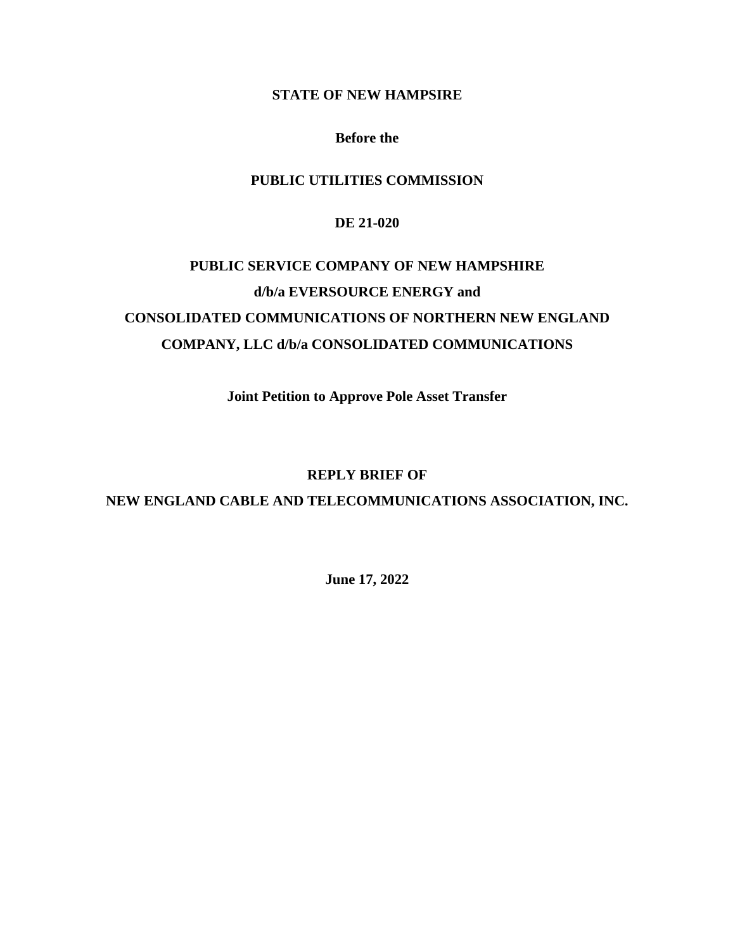## **STATE OF NEW HAMPSIRE**

#### **Before the**

# **PUBLIC UTILITIES COMMISSION**

#### **DE 21-020**

# **PUBLIC SERVICE COMPANY OF NEW HAMPSHIRE d/b/a EVERSOURCE ENERGY and CONSOLIDATED COMMUNICATIONS OF NORTHERN NEW ENGLAND COMPANY, LLC d/b/a CONSOLIDATED COMMUNICATIONS**

**Joint Petition to Approve Pole Asset Transfer**

## **REPLY BRIEF OF**

**NEW ENGLAND CABLE AND TELECOMMUNICATIONS ASSOCIATION, INC.**

**June 17, 2022**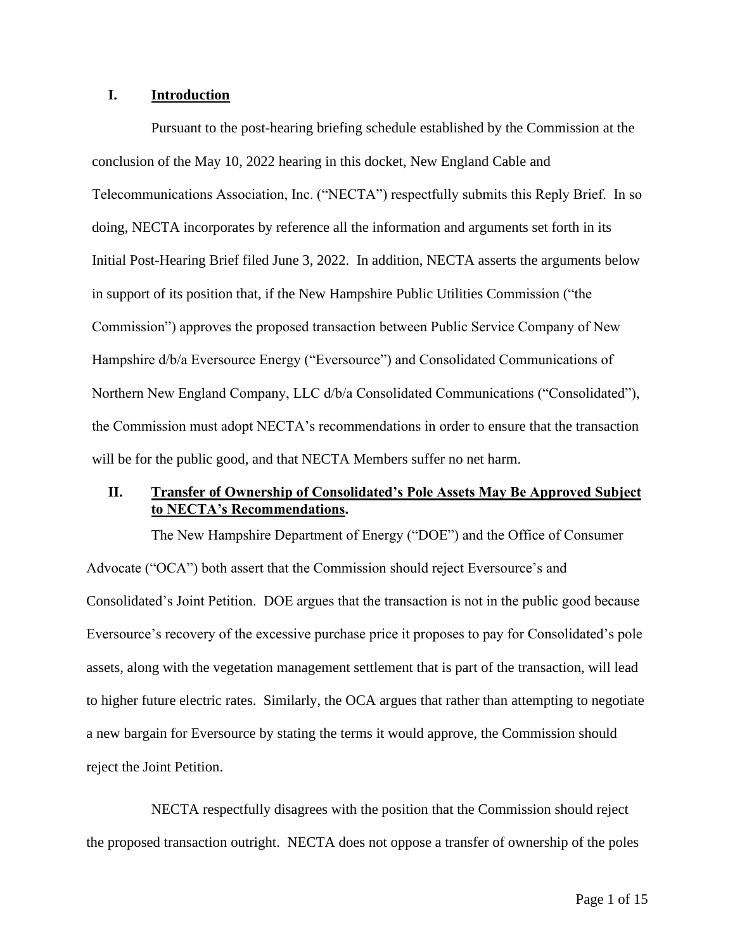#### **I. Introduction**

Pursuant to the post-hearing briefing schedule established by the Commission at the conclusion of the May 10, 2022 hearing in this docket, New England Cable and Telecommunications Association, Inc. ("NECTA") respectfully submits this Reply Brief. In so doing, NECTA incorporates by reference all the information and arguments set forth in its Initial Post-Hearing Brief filed June 3, 2022. In addition, NECTA asserts the arguments below in support of its position that, if the New Hampshire Public Utilities Commission ("the Commission") approves the proposed transaction between Public Service Company of New Hampshire d/b/a Eversource Energy ("Eversource") and Consolidated Communications of Northern New England Company, LLC d/b/a Consolidated Communications ("Consolidated"), the Commission must adopt NECTA's recommendations in order to ensure that the transaction will be for the public good, and that NECTA Members suffer no net harm.

## **II. Transfer of Ownership of Consolidated's Pole Assets May Be Approved Subject to NECTA's Recommendations.**

The New Hampshire Department of Energy ("DOE") and the Office of Consumer Advocate ("OCA") both assert that the Commission should reject Eversource's and Consolidated's Joint Petition. DOE argues that the transaction is not in the public good because Eversource's recovery of the excessive purchase price it proposes to pay for Consolidated's pole assets, along with the vegetation management settlement that is part of the transaction, will lead to higher future electric rates. Similarly, the OCA argues that rather than attempting to negotiate a new bargain for Eversource by stating the terms it would approve, the Commission should reject the Joint Petition.

NECTA respectfully disagrees with the position that the Commission should reject the proposed transaction outright. NECTA does not oppose a transfer of ownership of the poles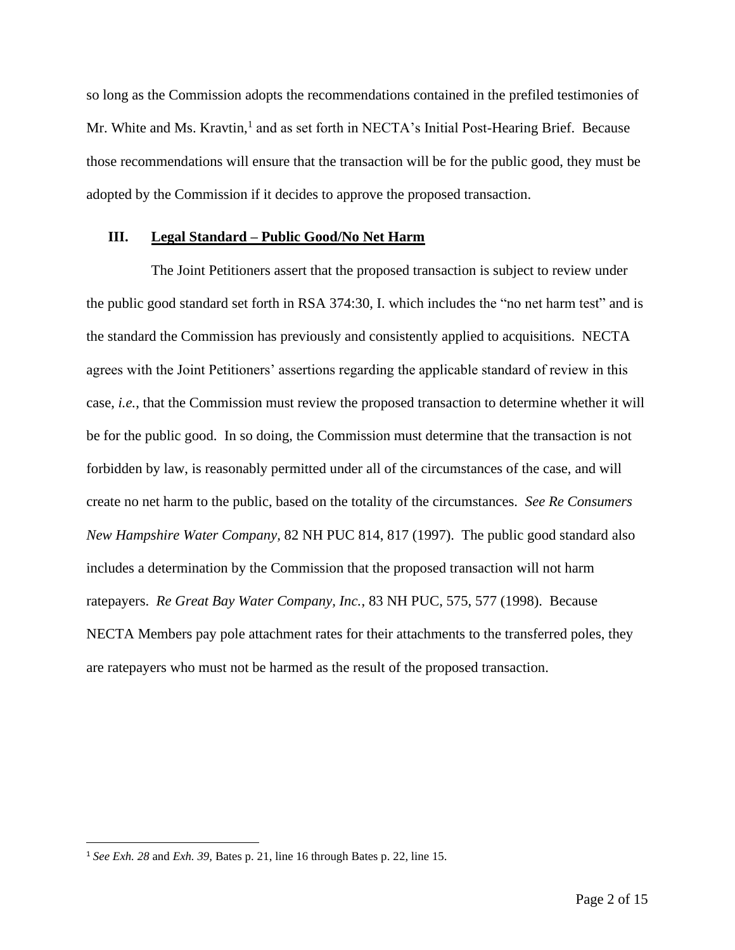so long as the Commission adopts the recommendations contained in the prefiled testimonies of Mr. White and Ms. Kravtin,<sup>1</sup> and as set forth in NECTA's Initial Post-Hearing Brief. Because those recommendations will ensure that the transaction will be for the public good, they must be adopted by the Commission if it decides to approve the proposed transaction.

#### **III. Legal Standard – Public Good/No Net Harm**

The Joint Petitioners assert that the proposed transaction is subject to review under the public good standard set forth in RSA 374:30, I. which includes the "no net harm test" and is the standard the Commission has previously and consistently applied to acquisitions. NECTA agrees with the Joint Petitioners' assertions regarding the applicable standard of review in this case, *i.e.*, that the Commission must review the proposed transaction to determine whether it will be for the public good. In so doing, the Commission must determine that the transaction is not forbidden by law, is reasonably permitted under all of the circumstances of the case, and will create no net harm to the public, based on the totality of the circumstances. *See Re Consumers New Hampshire Water Company,* 82 NH PUC 814, 817 (1997). The public good standard also includes a determination by the Commission that the proposed transaction will not harm ratepayers. *Re Great Bay Water Company, Inc.*, 83 NH PUC, 575, 577 (1998). Because NECTA Members pay pole attachment rates for their attachments to the transferred poles, they are ratepayers who must not be harmed as the result of the proposed transaction.

<sup>1</sup> *See Exh. 28* and *Exh. 39,* Bates p. 21, line 16 through Bates p. 22, line 15.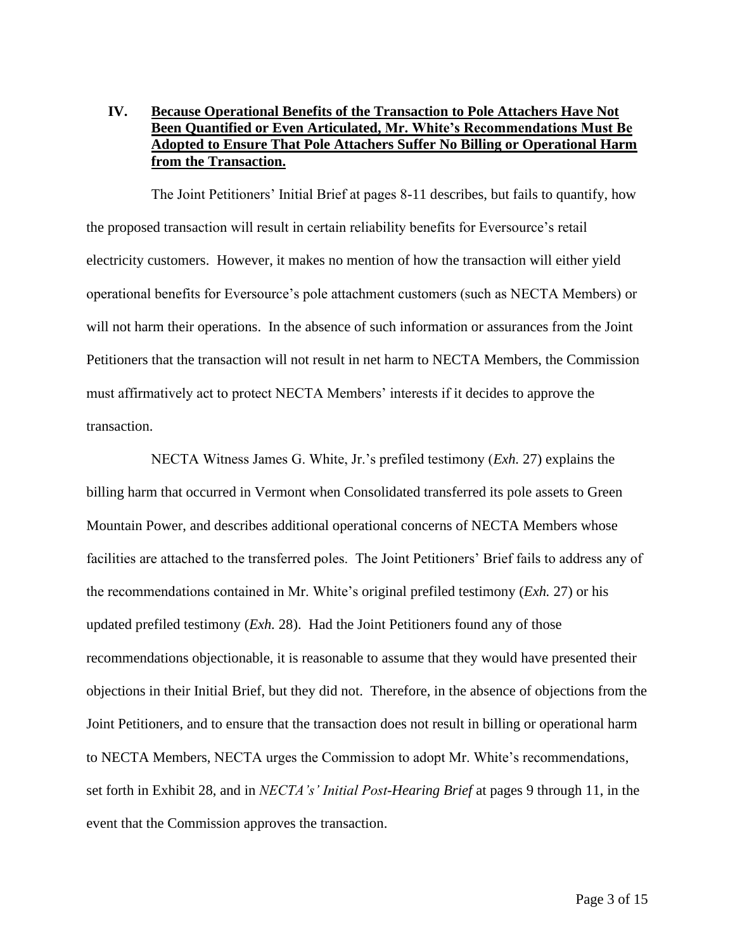## **IV. Because Operational Benefits of the Transaction to Pole Attachers Have Not Been Quantified or Even Articulated, Mr. White's Recommendations Must Be Adopted to Ensure That Pole Attachers Suffer No Billing or Operational Harm from the Transaction.**

The Joint Petitioners' Initial Brief at pages 8-11 describes, but fails to quantify, how the proposed transaction will result in certain reliability benefits for Eversource's retail electricity customers. However, it makes no mention of how the transaction will either yield operational benefits for Eversource's pole attachment customers (such as NECTA Members) or will not harm their operations. In the absence of such information or assurances from the Joint Petitioners that the transaction will not result in net harm to NECTA Members, the Commission must affirmatively act to protect NECTA Members' interests if it decides to approve the transaction.

NECTA Witness James G. White, Jr.'s prefiled testimony (*Exh.* 27) explains the billing harm that occurred in Vermont when Consolidated transferred its pole assets to Green Mountain Power, and describes additional operational concerns of NECTA Members whose facilities are attached to the transferred poles. The Joint Petitioners' Brief fails to address any of the recommendations contained in Mr. White's original prefiled testimony (*Exh.* 27) or his updated prefiled testimony (*Exh.* 28). Had the Joint Petitioners found any of those recommendations objectionable, it is reasonable to assume that they would have presented their objections in their Initial Brief, but they did not. Therefore, in the absence of objections from the Joint Petitioners, and to ensure that the transaction does not result in billing or operational harm to NECTA Members, NECTA urges the Commission to adopt Mr. White's recommendations, set forth in Exhibit 28, and in *NECTA's' Initial Post-Hearing Brief* at pages 9 through 11, in the event that the Commission approves the transaction.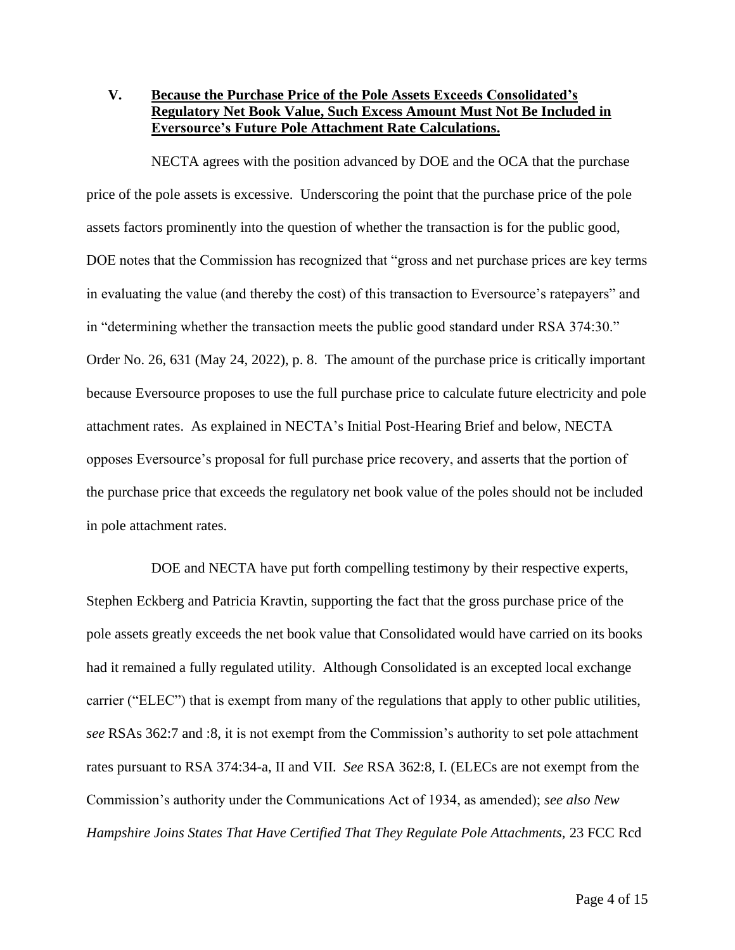# **V. Because the Purchase Price of the Pole Assets Exceeds Consolidated's Regulatory Net Book Value, Such Excess Amount Must Not Be Included in Eversource's Future Pole Attachment Rate Calculations.**

NECTA agrees with the position advanced by DOE and the OCA that the purchase price of the pole assets is excessive. Underscoring the point that the purchase price of the pole assets factors prominently into the question of whether the transaction is for the public good, DOE notes that the Commission has recognized that "gross and net purchase prices are key terms in evaluating the value (and thereby the cost) of this transaction to Eversource's ratepayers" and in "determining whether the transaction meets the public good standard under RSA 374:30." Order No. 26, 631 (May 24, 2022), p. 8. The amount of the purchase price is critically important because Eversource proposes to use the full purchase price to calculate future electricity and pole attachment rates. As explained in NECTA's Initial Post-Hearing Brief and below, NECTA opposes Eversource's proposal for full purchase price recovery, and asserts that the portion of the purchase price that exceeds the regulatory net book value of the poles should not be included in pole attachment rates.

DOE and NECTA have put forth compelling testimony by their respective experts, Stephen Eckberg and Patricia Kravtin, supporting the fact that the gross purchase price of the pole assets greatly exceeds the net book value that Consolidated would have carried on its books had it remained a fully regulated utility. Although Consolidated is an excepted local exchange carrier ("ELEC") that is exempt from many of the regulations that apply to other public utilities, *see* RSAs 362:7 and :8, it is not exempt from the Commission's authority to set pole attachment rates pursuant to RSA 374:34-a, II and VII. *See* RSA 362:8, I. (ELECs are not exempt from the Commission's authority under the Communications Act of 1934, as amended); *see also New Hampshire Joins States That Have Certified That They Regulate Pole Attachments,* 23 FCC Rcd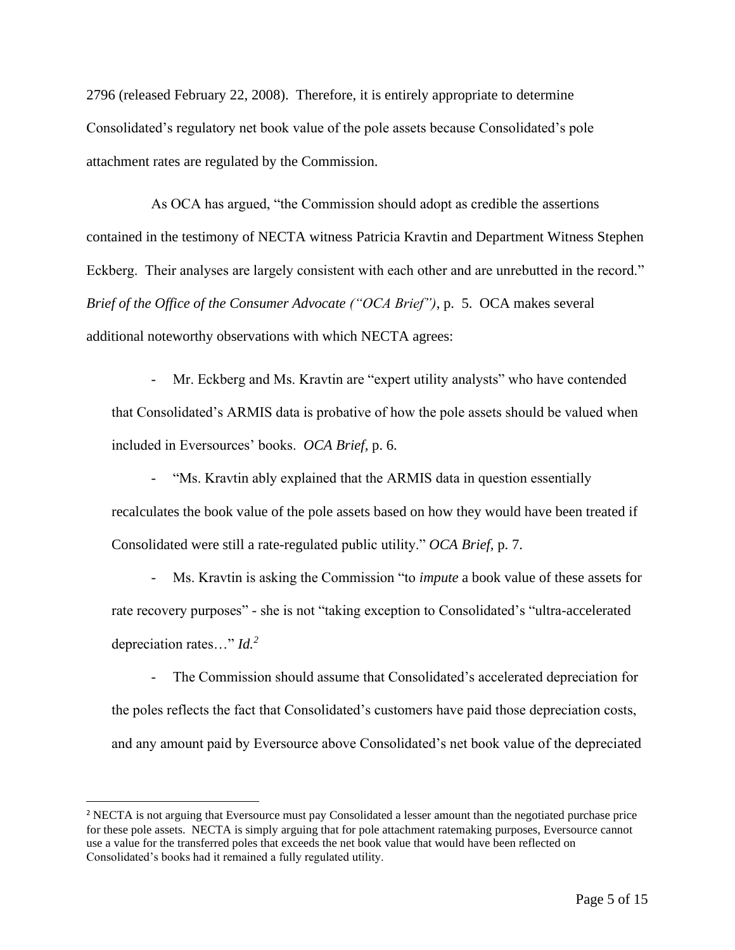2796 (released February 22, 2008). Therefore, it is entirely appropriate to determine Consolidated's regulatory net book value of the pole assets because Consolidated's pole attachment rates are regulated by the Commission.

As OCA has argued, "the Commission should adopt as credible the assertions contained in the testimony of NECTA witness Patricia Kravtin and Department Witness Stephen Eckberg. Their analyses are largely consistent with each other and are unrebutted in the record." *Brief of the Office of the Consumer Advocate ("OCA Brief")*, p. 5. OCA makes several additional noteworthy observations with which NECTA agrees:

Mr. Eckberg and Ms. Kravtin are "expert utility analysts" who have contended that Consolidated's ARMIS data is probative of how the pole assets should be valued when included in Eversources' books. *OCA Brief,* p. 6.

"Ms. Kravtin ably explained that the ARMIS data in question essentially recalculates the book value of the pole assets based on how they would have been treated if Consolidated were still a rate-regulated public utility." *OCA Brief,* p. 7.

- Ms. Kravtin is asking the Commission "to *impute* a book value of these assets for rate recovery purposes" - she is not "taking exception to Consolidated's "ultra-accelerated depreciation rates…" *Id.<sup>2</sup>*

- The Commission should assume that Consolidated's accelerated depreciation for the poles reflects the fact that Consolidated's customers have paid those depreciation costs, and any amount paid by Eversource above Consolidated's net book value of the depreciated

<sup>2</sup> NECTA is not arguing that Eversource must pay Consolidated a lesser amount than the negotiated purchase price for these pole assets. NECTA is simply arguing that for pole attachment ratemaking purposes, Eversource cannot use a value for the transferred poles that exceeds the net book value that would have been reflected on Consolidated's books had it remained a fully regulated utility.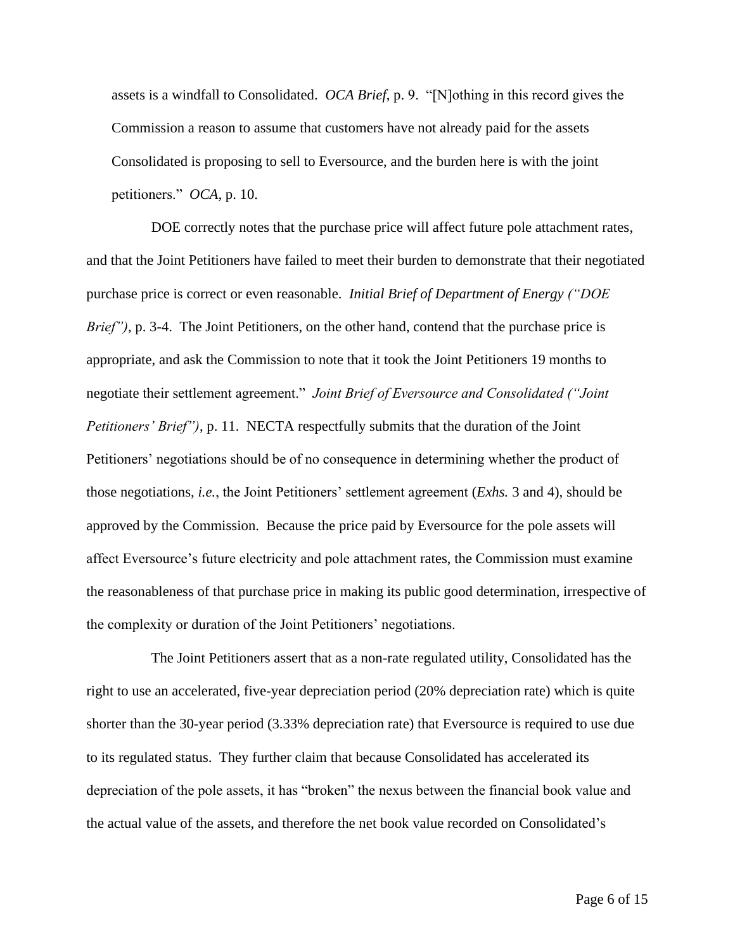assets is a windfall to Consolidated. *OCA Brief*, p. 9. "[N]othing in this record gives the Commission a reason to assume that customers have not already paid for the assets Consolidated is proposing to sell to Eversource, and the burden here is with the joint petitioners." *OCA,* p. 10.

DOE correctly notes that the purchase price will affect future pole attachment rates, and that the Joint Petitioners have failed to meet their burden to demonstrate that their negotiated purchase price is correct or even reasonable. *Initial Brief of Department of Energy ("DOE Brief"*), p. 3-4. The Joint Petitioners, on the other hand, contend that the purchase price is appropriate, and ask the Commission to note that it took the Joint Petitioners 19 months to negotiate their settlement agreement." *Joint Brief of Eversource and Consolidated ("Joint Petitioners' Brief")*, p. 11. NECTA respectfully submits that the duration of the Joint Petitioners' negotiations should be of no consequence in determining whether the product of those negotiations, *i.e.*, the Joint Petitioners' settlement agreement (*Exhs.* 3 and 4), should be approved by the Commission. Because the price paid by Eversource for the pole assets will affect Eversource's future electricity and pole attachment rates, the Commission must examine the reasonableness of that purchase price in making its public good determination, irrespective of the complexity or duration of the Joint Petitioners' negotiations.

The Joint Petitioners assert that as a non-rate regulated utility, Consolidated has the right to use an accelerated, five-year depreciation period (20% depreciation rate) which is quite shorter than the 30-year period (3.33% depreciation rate) that Eversource is required to use due to its regulated status. They further claim that because Consolidated has accelerated its depreciation of the pole assets, it has "broken" the nexus between the financial book value and the actual value of the assets, and therefore the net book value recorded on Consolidated's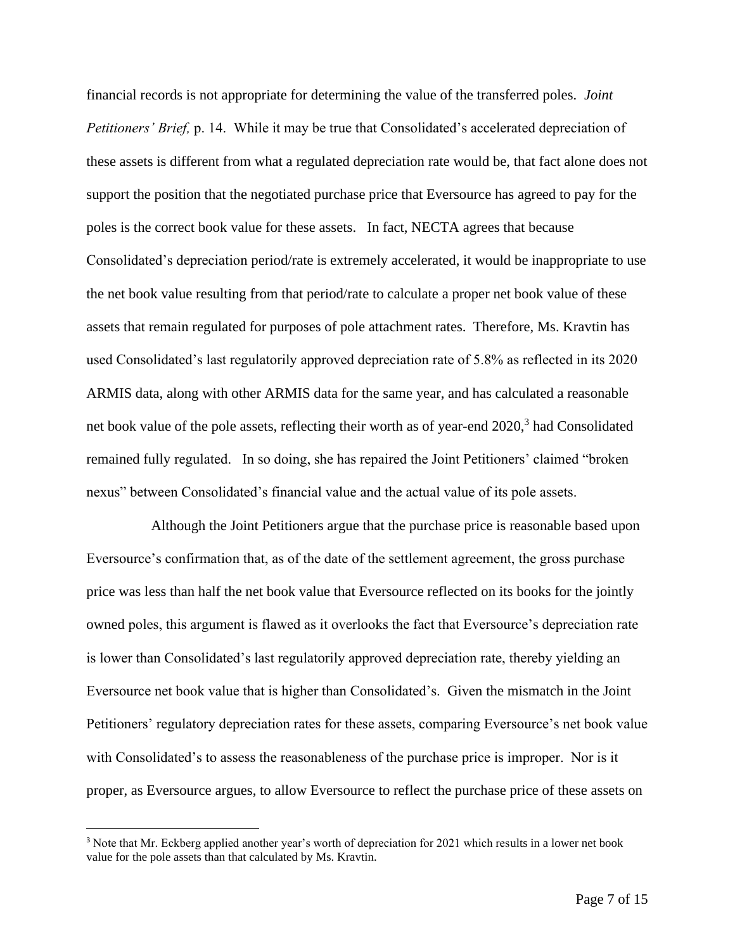financial records is not appropriate for determining the value of the transferred poles. *Joint Petitioners' Brief,* p. 14. While it may be true that Consolidated's accelerated depreciation of these assets is different from what a regulated depreciation rate would be, that fact alone does not support the position that the negotiated purchase price that Eversource has agreed to pay for the poles is the correct book value for these assets. In fact, NECTA agrees that because Consolidated's depreciation period/rate is extremely accelerated, it would be inappropriate to use the net book value resulting from that period/rate to calculate a proper net book value of these assets that remain regulated for purposes of pole attachment rates. Therefore, Ms. Kravtin has used Consolidated's last regulatorily approved depreciation rate of 5.8% as reflected in its 2020 ARMIS data, along with other ARMIS data for the same year, and has calculated a reasonable net book value of the pole assets, reflecting their worth as of year-end 2020, 3 had Consolidated remained fully regulated. In so doing, she has repaired the Joint Petitioners' claimed "broken nexus" between Consolidated's financial value and the actual value of its pole assets.

Although the Joint Petitioners argue that the purchase price is reasonable based upon Eversource's confirmation that, as of the date of the settlement agreement, the gross purchase price was less than half the net book value that Eversource reflected on its books for the jointly owned poles, this argument is flawed as it overlooks the fact that Eversource's depreciation rate is lower than Consolidated's last regulatorily approved depreciation rate, thereby yielding an Eversource net book value that is higher than Consolidated's. Given the mismatch in the Joint Petitioners' regulatory depreciation rates for these assets, comparing Eversource's net book value with Consolidated's to assess the reasonableness of the purchase price is improper. Nor is it proper, as Eversource argues, to allow Eversource to reflect the purchase price of these assets on

<sup>3</sup> Note that Mr. Eckberg applied another year's worth of depreciation for 2021 which results in a lower net book value for the pole assets than that calculated by Ms. Kravtin.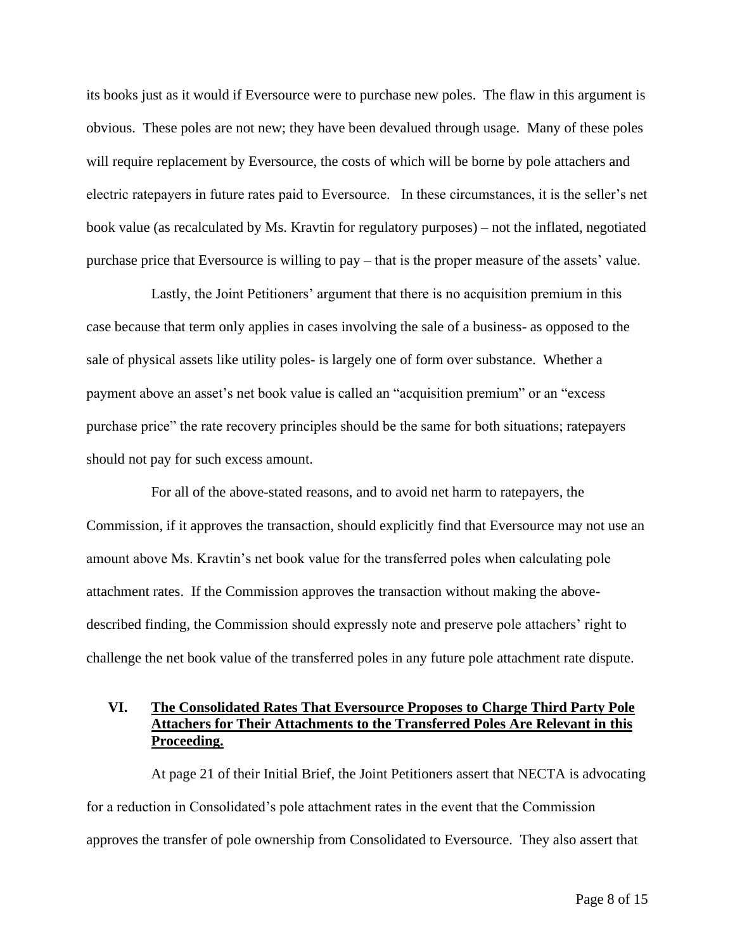its books just as it would if Eversource were to purchase new poles. The flaw in this argument is obvious. These poles are not new; they have been devalued through usage. Many of these poles will require replacement by Eversource, the costs of which will be borne by pole attachers and electric ratepayers in future rates paid to Eversource. In these circumstances, it is the seller's net book value (as recalculated by Ms. Kravtin for regulatory purposes) – not the inflated, negotiated purchase price that Eversource is willing to pay – that is the proper measure of the assets' value.

Lastly, the Joint Petitioners' argument that there is no acquisition premium in this case because that term only applies in cases involving the sale of a business- as opposed to the sale of physical assets like utility poles- is largely one of form over substance. Whether a payment above an asset's net book value is called an "acquisition premium" or an "excess purchase price" the rate recovery principles should be the same for both situations; ratepayers should not pay for such excess amount.

For all of the above-stated reasons, and to avoid net harm to ratepayers, the Commission, if it approves the transaction, should explicitly find that Eversource may not use an amount above Ms. Kravtin's net book value for the transferred poles when calculating pole attachment rates. If the Commission approves the transaction without making the abovedescribed finding, the Commission should expressly note and preserve pole attachers' right to challenge the net book value of the transferred poles in any future pole attachment rate dispute.

## **VI. The Consolidated Rates That Eversource Proposes to Charge Third Party Pole Attachers for Their Attachments to the Transferred Poles Are Relevant in this Proceeding.**

At page 21 of their Initial Brief, the Joint Petitioners assert that NECTA is advocating for a reduction in Consolidated's pole attachment rates in the event that the Commission approves the transfer of pole ownership from Consolidated to Eversource. They also assert that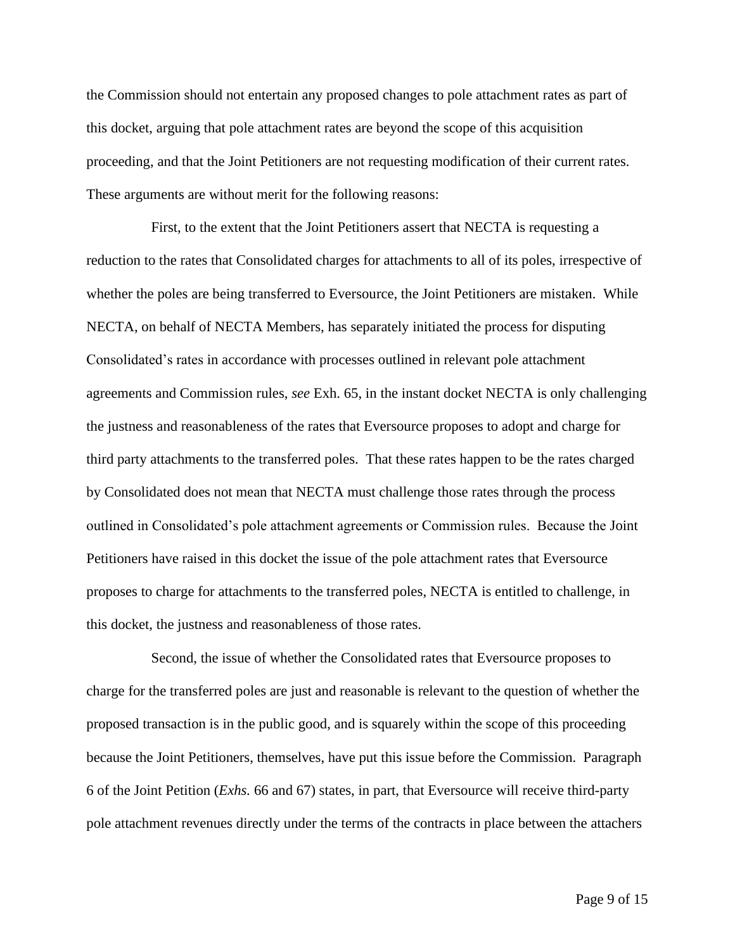the Commission should not entertain any proposed changes to pole attachment rates as part of this docket, arguing that pole attachment rates are beyond the scope of this acquisition proceeding, and that the Joint Petitioners are not requesting modification of their current rates. These arguments are without merit for the following reasons:

First, to the extent that the Joint Petitioners assert that NECTA is requesting a reduction to the rates that Consolidated charges for attachments to all of its poles, irrespective of whether the poles are being transferred to Eversource, the Joint Petitioners are mistaken. While NECTA, on behalf of NECTA Members, has separately initiated the process for disputing Consolidated's rates in accordance with processes outlined in relevant pole attachment agreements and Commission rules, *see* Exh. 65, in the instant docket NECTA is only challenging the justness and reasonableness of the rates that Eversource proposes to adopt and charge for third party attachments to the transferred poles. That these rates happen to be the rates charged by Consolidated does not mean that NECTA must challenge those rates through the process outlined in Consolidated's pole attachment agreements or Commission rules. Because the Joint Petitioners have raised in this docket the issue of the pole attachment rates that Eversource proposes to charge for attachments to the transferred poles, NECTA is entitled to challenge, in this docket, the justness and reasonableness of those rates.

Second, the issue of whether the Consolidated rates that Eversource proposes to charge for the transferred poles are just and reasonable is relevant to the question of whether the proposed transaction is in the public good, and is squarely within the scope of this proceeding because the Joint Petitioners, themselves, have put this issue before the Commission. Paragraph 6 of the Joint Petition (*Exhs.* 66 and 67) states, in part, that Eversource will receive third-party pole attachment revenues directly under the terms of the contracts in place between the attachers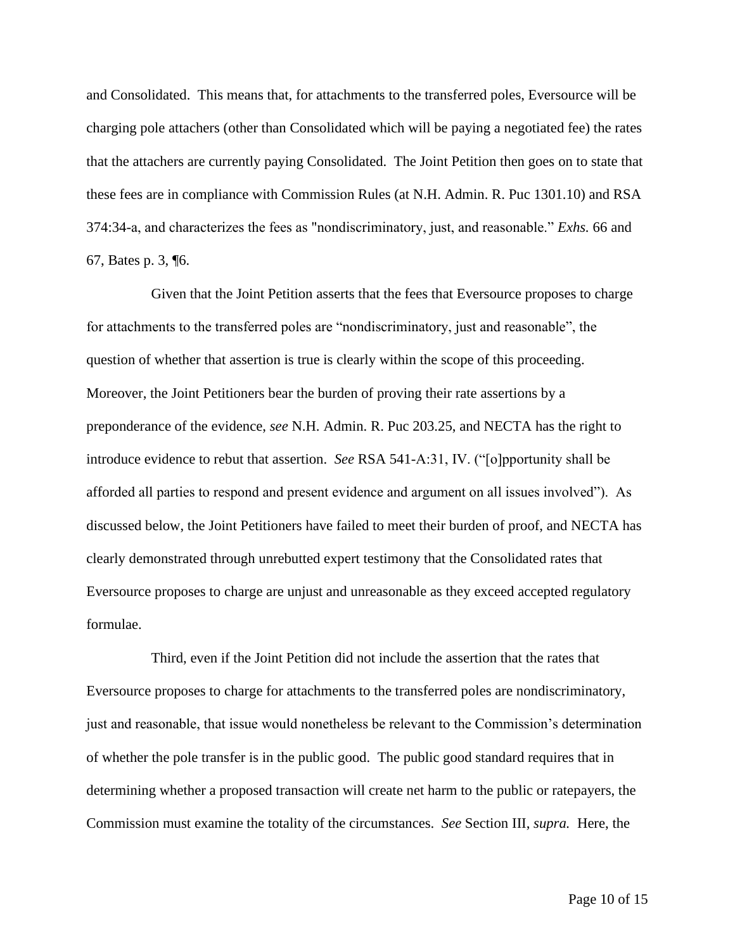and Consolidated. This means that, for attachments to the transferred poles, Eversource will be charging pole attachers (other than Consolidated which will be paying a negotiated fee) the rates that the attachers are currently paying Consolidated. The Joint Petition then goes on to state that these fees are in compliance with Commission Rules (at N.H. Admin. R. Puc 1301.10) and RSA 374:34-a, and characterizes the fees as "nondiscriminatory, just, and reasonable." *Exhs.* 66 and 67, Bates p. 3, ¶6.

Given that the Joint Petition asserts that the fees that Eversource proposes to charge for attachments to the transferred poles are "nondiscriminatory, just and reasonable", the question of whether that assertion is true is clearly within the scope of this proceeding. Moreover, the Joint Petitioners bear the burden of proving their rate assertions by a preponderance of the evidence, *see* N.H. Admin. R. Puc 203.25, and NECTA has the right to introduce evidence to rebut that assertion. *See* RSA 541-A:31, IV. ("[o]pportunity shall be afforded all parties to respond and present evidence and argument on all issues involved"). As discussed below, the Joint Petitioners have failed to meet their burden of proof, and NECTA has clearly demonstrated through unrebutted expert testimony that the Consolidated rates that Eversource proposes to charge are unjust and unreasonable as they exceed accepted regulatory formulae.

Third, even if the Joint Petition did not include the assertion that the rates that Eversource proposes to charge for attachments to the transferred poles are nondiscriminatory, just and reasonable, that issue would nonetheless be relevant to the Commission's determination of whether the pole transfer is in the public good. The public good standard requires that in determining whether a proposed transaction will create net harm to the public or ratepayers, the Commission must examine the totality of the circumstances. *See* Section III, *supra.* Here, the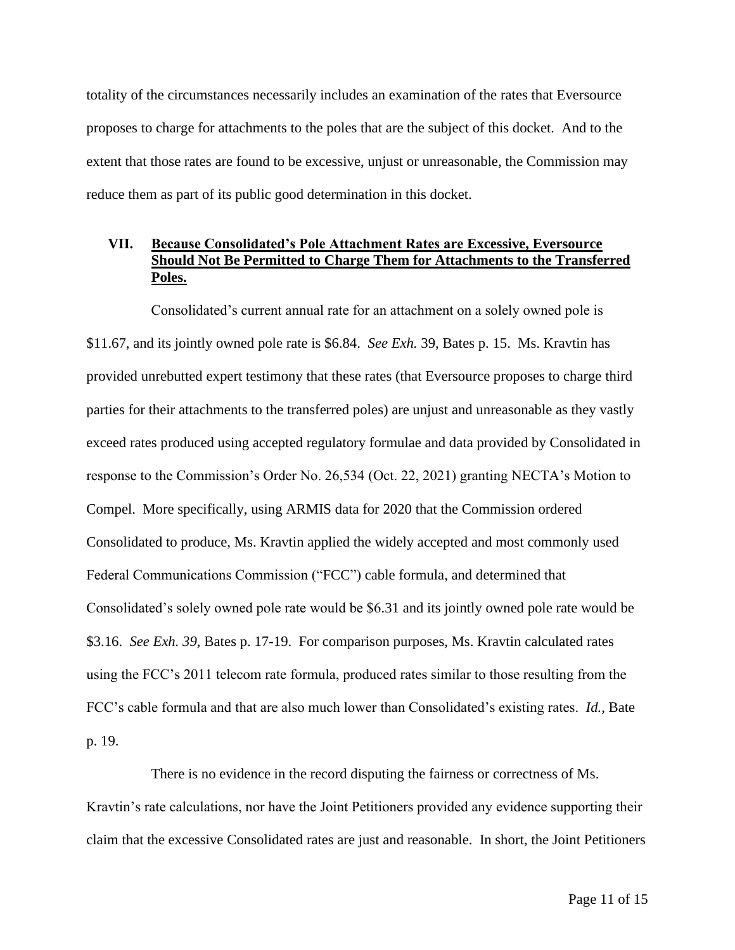totality of the circumstances necessarily includes an examination of the rates that Eversource proposes to charge for attachments to the poles that are the subject of this docket. And to the extent that those rates are found to be excessive, unjust or unreasonable, the Commission may reduce them as part of its public good determination in this docket.

## **VII. Because Consolidated's Pole Attachment Rates are Excessive, Eversource Should Not Be Permitted to Charge Them for Attachments to the Transferred Poles.**

Consolidated's current annual rate for an attachment on a solely owned pole is \$11.67, and its jointly owned pole rate is \$6.84. *See Exh.* 39, Bates p. 15. Ms. Kravtin has provided unrebutted expert testimony that these rates (that Eversource proposes to charge third parties for their attachments to the transferred poles) are unjust and unreasonable as they vastly exceed rates produced using accepted regulatory formulae and data provided by Consolidated in response to the Commission's Order No. 26,534 (Oct. 22, 2021) granting NECTA's Motion to Compel. More specifically, using ARMIS data for 2020 that the Commission ordered Consolidated to produce, Ms. Kravtin applied the widely accepted and most commonly used Federal Communications Commission ("FCC") cable formula, and determined that Consolidated's solely owned pole rate would be \$6.31 and its jointly owned pole rate would be \$3.16. *See Exh. 39,* Bates p. 17-19. For comparison purposes, Ms. Kravtin calculated rates using the FCC's 2011 telecom rate formula, produced rates similar to those resulting from the FCC's cable formula and that are also much lower than Consolidated's existing rates. *Id.,* Bate p. 19.

There is no evidence in the record disputing the fairness or correctness of Ms. Kravtin's rate calculations, nor have the Joint Petitioners provided any evidence supporting their claim that the excessive Consolidated rates are just and reasonable. In short, the Joint Petitioners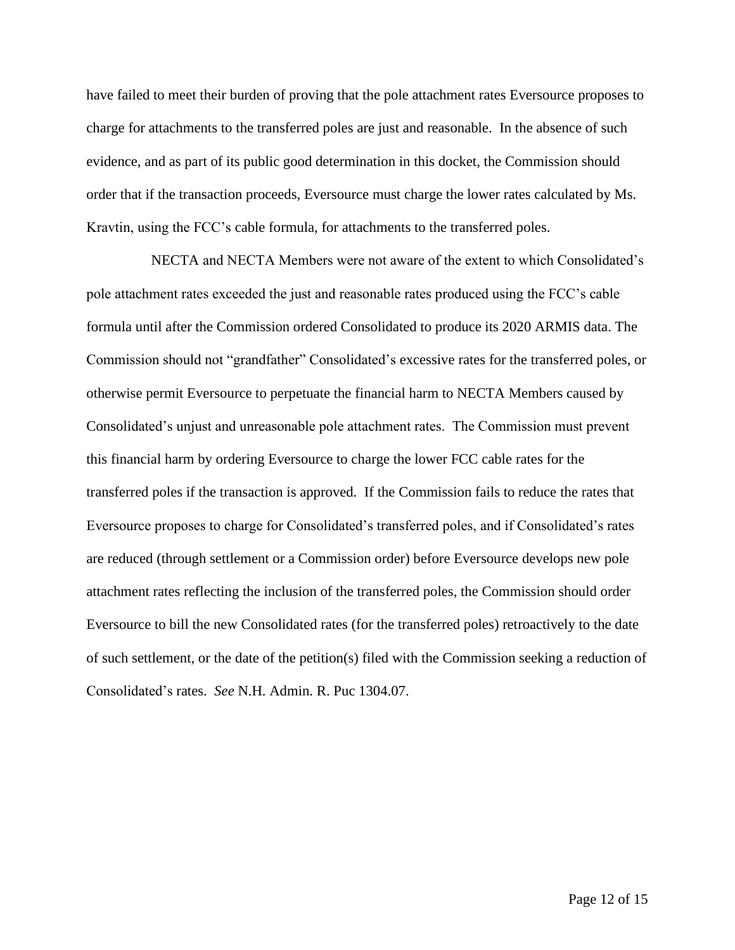have failed to meet their burden of proving that the pole attachment rates Eversource proposes to charge for attachments to the transferred poles are just and reasonable. In the absence of such evidence, and as part of its public good determination in this docket, the Commission should order that if the transaction proceeds, Eversource must charge the lower rates calculated by Ms. Kravtin, using the FCC's cable formula, for attachments to the transferred poles.

NECTA and NECTA Members were not aware of the extent to which Consolidated's pole attachment rates exceeded the just and reasonable rates produced using the FCC's cable formula until after the Commission ordered Consolidated to produce its 2020 ARMIS data. The Commission should not "grandfather" Consolidated's excessive rates for the transferred poles, or otherwise permit Eversource to perpetuate the financial harm to NECTA Members caused by Consolidated's unjust and unreasonable pole attachment rates. The Commission must prevent this financial harm by ordering Eversource to charge the lower FCC cable rates for the transferred poles if the transaction is approved. If the Commission fails to reduce the rates that Eversource proposes to charge for Consolidated's transferred poles, and if Consolidated's rates are reduced (through settlement or a Commission order) before Eversource develops new pole attachment rates reflecting the inclusion of the transferred poles, the Commission should order Eversource to bill the new Consolidated rates (for the transferred poles) retroactively to the date of such settlement, or the date of the petition(s) filed with the Commission seeking a reduction of Consolidated's rates. *See* N.H. Admin. R. Puc 1304.07.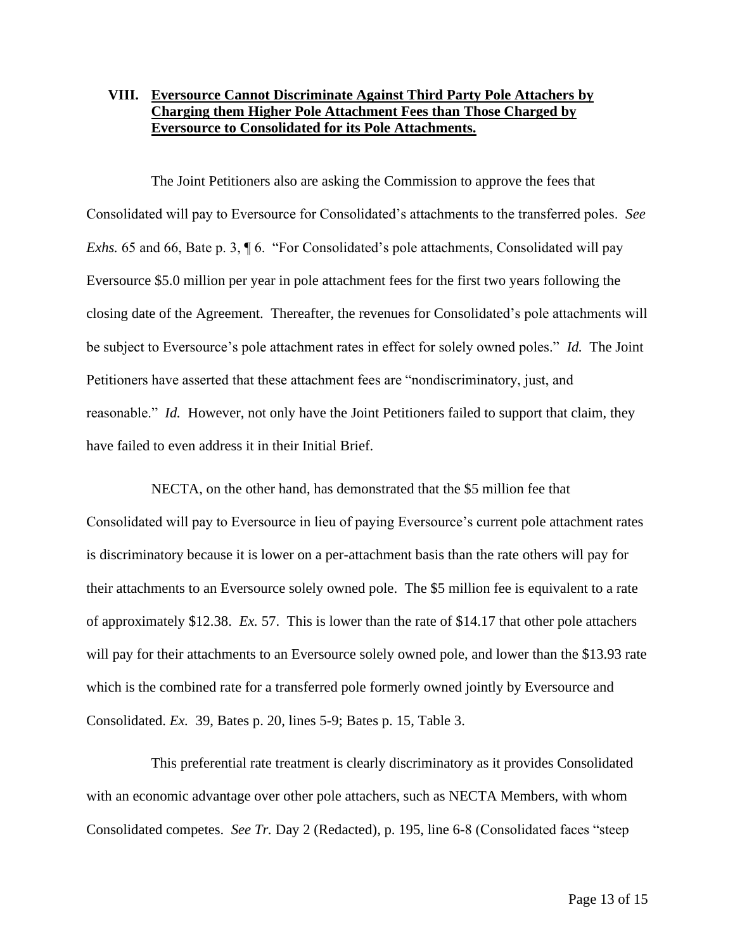## **VIII. Eversource Cannot Discriminate Against Third Party Pole Attachers by Charging them Higher Pole Attachment Fees than Those Charged by Eversource to Consolidated for its Pole Attachments.**

The Joint Petitioners also are asking the Commission to approve the fees that Consolidated will pay to Eversource for Consolidated's attachments to the transferred poles. *See Exhs.* 65 and 66, Bate p. 3,  $\parallel$  6. "For Consolidated's pole attachments, Consolidated will pay Eversource \$5.0 million per year in pole attachment fees for the first two years following the closing date of the Agreement. Thereafter, the revenues for Consolidated's pole attachments will be subject to Eversource's pole attachment rates in effect for solely owned poles." *Id.* The Joint Petitioners have asserted that these attachment fees are "nondiscriminatory, just, and reasonable." *Id.* However, not only have the Joint Petitioners failed to support that claim, they have failed to even address it in their Initial Brief.

NECTA, on the other hand, has demonstrated that the \$5 million fee that Consolidated will pay to Eversource in lieu of paying Eversource's current pole attachment rates is discriminatory because it is lower on a per-attachment basis than the rate others will pay for their attachments to an Eversource solely owned pole. The \$5 million fee is equivalent to a rate of approximately \$12.38. *Ex.* 57. This is lower than the rate of \$14.17 that other pole attachers will pay for their attachments to an Eversource solely owned pole, and lower than the \$13.93 rate which is the combined rate for a transferred pole formerly owned jointly by Eversource and Consolidated. *Ex.* 39, Bates p. 20, lines 5-9; Bates p. 15, Table 3.

This preferential rate treatment is clearly discriminatory as it provides Consolidated with an economic advantage over other pole attachers, such as NECTA Members, with whom Consolidated competes. *See Tr.* Day 2 (Redacted), p. 195, line 6-8 (Consolidated faces "steep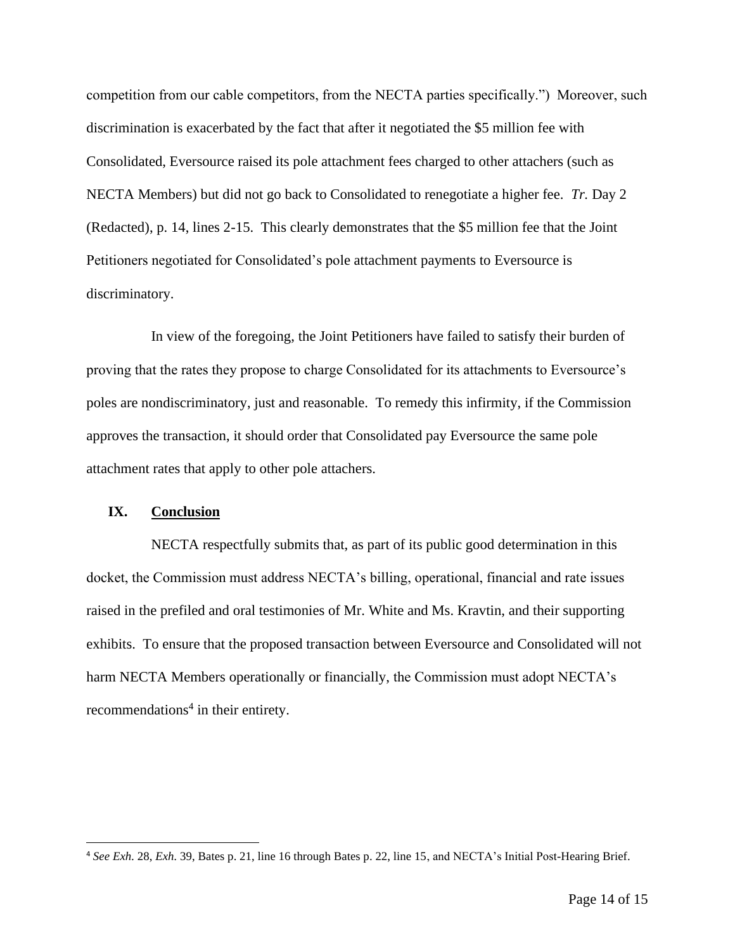competition from our cable competitors, from the NECTA parties specifically.") Moreover, such discrimination is exacerbated by the fact that after it negotiated the \$5 million fee with Consolidated, Eversource raised its pole attachment fees charged to other attachers (such as NECTA Members) but did not go back to Consolidated to renegotiate a higher fee. *Tr.* Day 2 (Redacted), p. 14, lines 2-15. This clearly demonstrates that the \$5 million fee that the Joint Petitioners negotiated for Consolidated's pole attachment payments to Eversource is discriminatory.

In view of the foregoing, the Joint Petitioners have failed to satisfy their burden of proving that the rates they propose to charge Consolidated for its attachments to Eversource's poles are nondiscriminatory, just and reasonable. To remedy this infirmity, if the Commission approves the transaction, it should order that Consolidated pay Eversource the same pole attachment rates that apply to other pole attachers.

#### **IX. Conclusion**

NECTA respectfully submits that, as part of its public good determination in this docket, the Commission must address NECTA's billing, operational, financial and rate issues raised in the prefiled and oral testimonies of Mr. White and Ms. Kravtin, and their supporting exhibits. To ensure that the proposed transaction between Eversource and Consolidated will not harm NECTA Members operationally or financially, the Commission must adopt NECTA's recommendations<sup>4</sup> in their entirety.

<sup>4</sup> *See Exh.* 28, *Exh.* 39, Bates p. 21, line 16 through Bates p. 22, line 15, and NECTA's Initial Post-Hearing Brief.